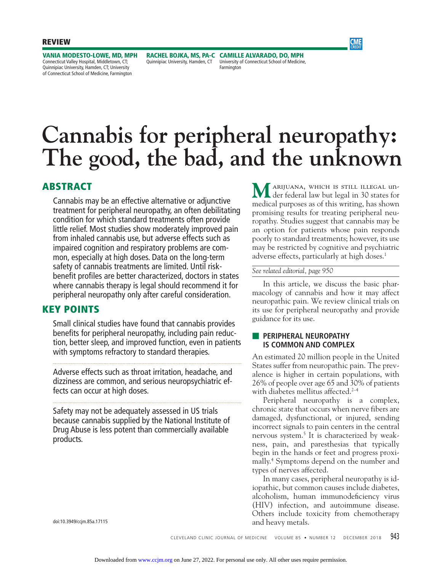

**VANIA MODESTO-LOWE, MD, MPH** Connecticut Valley Hospital, Middletown, CT; Quinnipiac University, Hamden, CT; University of Connecticut School of Medicine, Farmington

Quinnipiac University, Hamden, CT

**RACHEL BOJKA, MS, PA-C CAMILLE ALVARADO, DO, MPH** University of Connecticut School of Medicine, Farmington

# **Cannabis for peripheral neuropathy: The good, the bad, and the unknown**

# **ABSTRACT**

Cannabis may be an effective alternative or adjunctive treatment for peripheral neuropathy, an often debilitating condition for which standard treatments often provide little relief. Most studies show moderately improved pain from inhaled cannabis use, but adverse effects such as impaired cognition and respiratory problems are common, especially at high doses. Data on the long-term safety of cannabis treatments are limited. Until riskbenefit profiles are better characterized, doctors in states where cannabis therapy is legal should recommend it for peripheral neuropathy only after careful consideration.

## **KEY POINTS**

Small clinical studies have found that cannabis provides benefits for peripheral neuropathy, including pain reduction, better sleep, and improved function, even in patients with symptoms refractory to standard therapies.

Adverse effects such as throat irritation, headache, and dizziness are common, and serious neuropsychiatric effects can occur at high doses.

Safety may not be adequately assessed in US trials because cannabis supplied by the National Institute of Drug Abuse is less potent than commercially available products.

**M**arijuana, which is still illegal un der federal law but legal in 30 states for medical purposes as of this writing, has shown promising results for treating peripheral neuropathy. Studies suggest that cannabis may be an option for patients whose pain responds poorly to standard treatments; however, its use may be restricted by cognitive and psychiatric adverse effects, particularly at high doses.<sup>1</sup>

#### *See related editorial, page 950*

 In this article, we discuss the basic pharmacology of cannabis and how it may affect neuropathic pain. We review clinical trials on its use for peripheral neuropathy and provide guidance for its use.

#### ■ **PERIPHERAL NEUROPATHY IS COMMON AND COMPLEX**

An estimated 20 million people in the United States suffer from neuropathic pain. The prevalence is higher in certain populations, with 26% of people over age 65 and 30% of patients with diabetes mellitus affected. $2-4$ 

 Peripheral neuropathy is a complex, chronic state that occurs when nerve fibers are damaged, dysfunctional, or injured, sending incorrect signals to pain centers in the central nervous system.<sup>5</sup> It is characterized by weakness, pain, and paresthesias that typically begin in the hands or feet and progress proximally.4 Symptoms depend on the number and types of nerves affected.

 In many cases, peripheral neuropathy is idiopathic, but common causes include diabetes, alcoholism, human immunodeficiency virus (HIV) infection, and autoimmune disease. Others include toxicity from chemotherapy and heavy metals.

doi:10.3949/ccjm.85a.17115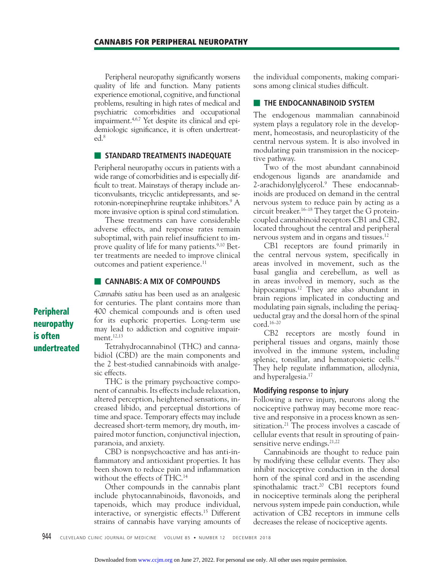Peripheral neuropathy significantly worsens quality of life and function. Many patients experience emotional, cognitive, and functional problems, resulting in high rates of medical and psychiatric comorbidities and occupational impairment.4,6,7 Yet despite its clinical and epidemiologic significance, it is often undertreated.8

#### $\blacksquare$  **STANDARD TREATMENTS INADEQUATE**

Peripheral neuropathy occurs in patients with a wide range of comorbidities and is especially difficult to treat. Mainstays of therapy include anticonvulsants, tricyclic antidepressants, and serotonin-norepinephrine reuptake inhibitors.9 A more invasive option is spinal cord stimulation.

 These treatments can have considerable adverse effects, and response rates remain suboptimal, with pain relief insufficient to improve quality of life for many patients.<sup>9,10</sup> Better treatments are needed to improve clinical outcomes and patient experience.<sup>11</sup>

#### ■ **CANNABIS: A MIX OF COMPOUNDS**

*Cannabis sativa* has been used as an analgesic for centuries. The plant contains more than 400 chemical compounds and is often used for its euphoric properties. Long-term use may lead to addiction and cognitive impairment.12,13

 Tetrahydrocannabinol (THC) and cannabidiol (CBD) are the main components and the 2 best-studied cannabinoids with analgesic effects.

 THC is the primary psychoactive component of cannabis. Its effects include relaxation, altered perception, heightened sensations, increased libido, and perceptual distortions of time and space. Temporary effects may include decreased short-term memory, dry mouth, impaired motor function, conjunctival injection, paranoia, and anxiety.

 CBD is nonpsychoactive and has anti-inflammatory and antioxidant properties. It has been shown to reduce pain and inflammation without the effects of THC.14

 Other compounds in the cannabis plant include phytocannabinoids, flavonoids, and tapenoids, which may produce individual, interactive, or synergistic effects.15 Different strains of cannabis have varying amounts of the individual components, making comparisons among clinical studies difficult.

#### **EXTEND ENDOCANNABINOID SYSTEM**

The endogenous mammalian cannabinoid system plays a regulatory role in the development, homeostasis, and neuroplasticity of the central nervous system. It is also involved in modulating pain transmission in the nociceptive pathway.

 Two of the most abundant cannabinoid endogenous ligands are anandamide and 2-arachidonylglycerol.<sup>9</sup> These endocannabinoids are produced on demand in the central nervous system to reduce pain by acting as a circuit breaker.<sup>16–18</sup> They target the G proteincoupled cannabinoid receptors CB1 and CB2, located throughout the central and peripheral nervous system and in organs and tissues.12

 CB1 receptors are found primarily in the central nervous system, specifically in areas involved in movement, such as the basal ganglia and cerebellum, as well as in areas involved in memory, such as the hippocampus.<sup>12</sup> They are also abundant in brain regions implicated in conducting and modulating pain signals, including the periaqueductal gray and the dorsal horn of the spinal cord.16–20

 CB2 receptors are mostly found in peripheral tissues and organs, mainly those involved in the immune system, including splenic, tonsillar, and hematopoietic cells.<sup>12</sup> They help regulate inflammation, allodynia, and hyperalgesia.<sup>17</sup>

#### **Modifying response to injury**

Following a nerve injury, neurons along the nociceptive pathway may become more reactive and responsive in a process known as sensitization.<sup>21</sup> The process involves a cascade of cellular events that result in sprouting of painsensitive nerve endings. $21,22$ 

 Cannabinoids are thought to reduce pain by modifying these cellular events. They also inhibit nociceptive conduction in the dorsal horn of the spinal cord and in the ascending spinothalamic tract.<sup>20</sup> CB1 receptors found in nociceptive terminals along the peripheral nervous system impede pain conduction, while activation of CB2 receptors in immune cells decreases the release of nociceptive agents.

**Peripheral neuropathy is often undertreated**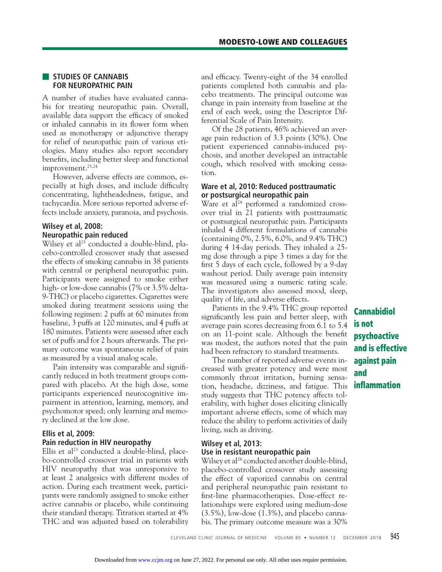#### ■ **STUDIES OF CANNABIS FOR NEUROPATHIC PAIN**

A number of studies have evaluated cannabis for treating neuropathic pain. Overall, available data support the efficacy of smoked or inhaled cannabis in its flower form when used as monotherapy or adjunctive therapy for relief of neuropathic pain of various etiologies. Many studies also report secondary benefits, including better sleep and functional improvement.23,24

 However, adverse effects are common, especially at high doses, and include difficulty concentrating, lightheadedness, fatigue, and tachycardia. More serious reported adverse effects include anxiety, paranoia, and psychosis.

#### **Wilsey et al, 2008: Neuropathic pain reduced**

Wilsey et al<sup>25</sup> conducted a double-blind, placebo-controlled crossover study that assessed the effects of smoking cannabis in 38 patients with central or peripheral neuropathic pain. Participants were assigned to smoke either high- or low-dose cannabis (7% or 3.5% delta-9-THC) or placebo cigarettes. Cigarettes were smoked during treatment sessions using the following regimen: 2 puffs at 60 minutes from baseline, 3 puffs at 120 minutes, and 4 puffs at 180 minutes. Patients were assessed after each set of puffs and for 2 hours afterwards. The primary outcome was spontaneous relief of pain as measured by a visual analog scale.

Pain intensity was comparable and significantly reduced in both treatment groups compared with placebo. At the high dose, some participants experienced neurocognitive impairment in attention, learning, memory, and psychomotor speed; only learning and memory declined at the low dose.

#### **Ellis et al, 2009: Pain reduction in HIV neuropathy**

Ellis et al<sup>23</sup> conducted a double-blind, placebo-controlled crossover trial in patients with HIV neuropathy that was unresponsive to at least 2 analgesics with different modes of action. During each treatment week, participants were randomly assigned to smoke either active cannabis or placebo, while continuing their standard therapy. Titration started at 4% THC and was adjusted based on tolerability

and efficacy. Twenty-eight of the 34 enrolled patients completed both cannabis and placebo treatments. The principal outcome was change in pain intensity from baseline at the end of each week, using the Descriptor Differential Scale of Pain Intensity.

 Of the 28 patients, 46% achieved an average pain reduction of 3.3 points (30%). One patient experienced cannabis-induced psychosis, and another developed an intractable cough, which resolved with smoking cessation.

#### **Ware et al, 2010: Reduced posttraumatic or postsurgical neuropathic pain**

Ware et al<sup>24</sup> performed a randomized crossover trial in 21 patients with posttraumatic or postsurgical neuropathic pain. Participants inhaled 4 different formulations of cannabis (containing 0%, 2.5%, 6.0%, and 9.4% THC) during 4 14-day periods. They inhaled a 25 mg dose through a pipe 3 times a day for the first 5 days of each cycle, followed by a 9-day washout period. Daily average pain intensity was measured using a numeric rating scale. The investigators also assessed mood, sleep, quality of life, and adverse effects.

 Patients in the 9.4% THC group reported significantly less pain and better sleep, with average pain scores decreasing from 6.1 to 5.4 on an 11-point scale. Although the benefit was modest, the authors noted that the pain had been refractory to standard treatments.

 The number of reported adverse events increased with greater potency and were most commonly throat irritation, burning sensation, headache, dizziness, and fatigue. This study suggests that THC potency affects tolerability, with higher doses eliciting clinically important adverse effects, some of which may reduce the ability to perform activities of daily living, such as driving.

### **Wilsey et al, 2013: Use in resistant neuropathic pain**

Wilsey et al<sup>26</sup> conducted another double-blind, placebo-controlled crossover study assessing the effect of vaporized cannabis on central and peripheral neuropathic pain resistant to first-line pharmacotherapies. Dose-effect relationships were explored using medium-dose (3.5%), low-dose (1.3%), and placebo cannabis. The primary outcome measure was a 30%

**Cannabidiol is not psychoactive and is effective against pain and infl ammation**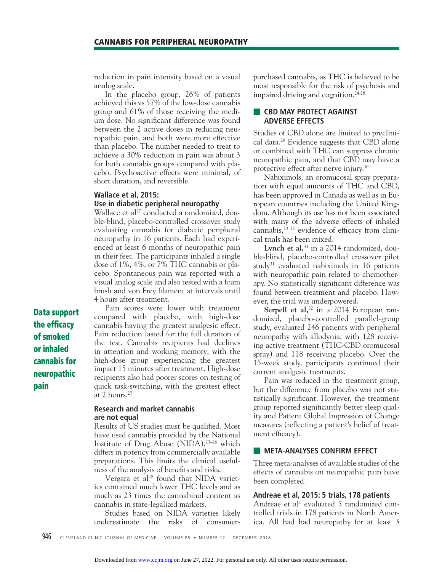reduction in pain intensity based on a visual analog scale.

 In the placebo group, 26% of patients achieved this vs 57% of the low-dose cannabis group and 61% of those receiving the medium dose. No significant difference was found between the 2 active doses in reducing neuropathic pain, and both were more effective than placebo. The number needed to treat to achieve a 30% reduction in pain was about 3 for both cannabis groups compared with placebo. Psychoactive effects were minimal, of short duration, and reversible.

#### **Wallace et al, 2015: Use in diabetic peripheral neuropathy**

Wallace et al<sup>27</sup> conducted a randomized, double-blind, placebo-controlled crossover study evaluating cannabis for diabetic peripheral neuropathy in 16 patients. Each had experienced at least 6 months of neuropathic pain in their feet. The participants inhaled a single dose of 1%, 4%, or 7% THC cannabis or placebo. Spontaneous pain was reported with a visual analog scale and also tested with a foam brush and von Frey filament at intervals until 4 hours after treatment.

 Pain scores were lower with treatment compared with placebo, with high-dose cannabis having the greatest analgesic effect. Pain reduction lasted for the full duration of the test. Cannabis recipients had declines in attention and working memory, with the high-dose group experiencing the greatest impact 15 minutes after treatment. High-dose recipients also had poorer scores on testing of quick task-switching, with the greatest effect at 2 hours.27

**Research and market cannabis are not equal**

Results of US studies must be qualified. Most have used cannabis provided by the National Institute of Drug Abuse (NIDA), $23-26$  which differs in potency from commercially available preparations. This limits the clinical usefulness of the analysis of benefits and risks.

Vergara et al<sup>28</sup> found that NIDA varieties contained much lower THC levels and as much as 23 times the cannabinol content as cannabis in state-legalized markets.

 Studies based on NIDA varieties likely underestimate the risks of consumerpurchased cannabis, as THC is believed to be most responsible for the risk of psychosis and impaired driving and cognition.<sup>24,28</sup>

#### **EX CBD MAY PROTECT AGAINST ADVERSE EFFECTS**

Studies of CBD alone are limited to preclinical data.29 Evidence suggests that CBD alone or combined with THC can suppress chronic neuropathic pain, and that CBD may have a protective effect after nerve injury.30

 Nabiximols, an oromucosal spray preparation with equal amounts of THC and CBD, has been approved in Canada as well as in European countries including the United Kingdom. Although its use has not been associated with many of the adverse effects of inhaled cannabis, $30-32$  evidence of efficacy from clinical trials has been mixed.

Lynch et al,<sup>31</sup> in a 2014 randomized, double-blind, placebo-controlled crossover pilot study<sup>31</sup> evaluated nabiximols in 16 patients with neuropathic pain related to chemotherapy. No statistically significant difference was found between treatment and placebo. However, the trial was underpowered.

Serpell et al,<sup>32</sup> in a 2014 European randomized, placebo-controlled parallel-group study, evaluated 246 patients with peripheral neuropathy with allodynia, with 128 receiving active treatment (THC-CBD oromucosal spray) and 118 receiving placebo. Over the 15-week study, participants continued their current analgesic treatments.

 Pain was reduced in the treatment group, but the difference from placebo was not statistically significant. However, the treatment group reported significantly better sleep quality and Patient Global Impression of Change measures (reflecting a patient's belief of treatment efficacy).

#### **EXECUTE: META-ANALYSES CONFIRM EFFECT**

Three meta-analyses of available studies of the effects of cannabis on neuropathic pain have been completed.

#### **Andreae et al, 2015: 5 trials, 178 patients**

Andreae et al<sup>1</sup> evaluated 5 randomized controlled trials in 178 patients in North America. All had had neuropathy for at least 3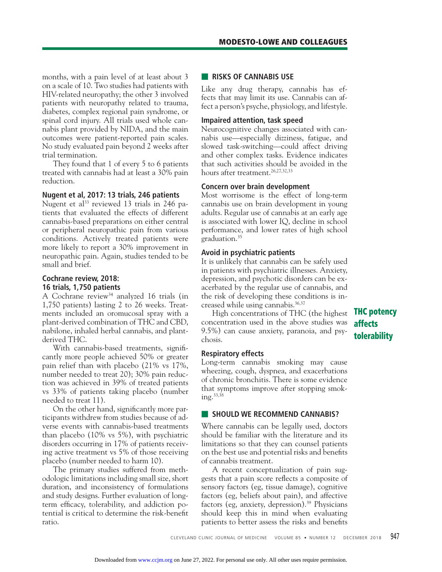months, with a pain level of at least about 3 on a scale of 10. Two studies had patients with HIV-related neuropathy; the other 3 involved patients with neuropathy related to trauma, diabetes, complex regional pain syndrome, or spinal cord injury. All trials used whole cannabis plant provided by NIDA, and the main outcomes were patient-reported pain scales. No study evaluated pain beyond 2 weeks after trial termination.

They found that 1 of every 5 to 6 patients treated with cannabis had at least a 30% pain reduction.

#### **Nugent et al, 2017: 13 trials, 246 patients**

Nugent et al<sup>33</sup> reviewed 13 trials in 246 patients that evaluated the effects of different cannabis-based preparations on either central or peripheral neuropathic pain from various conditions. Actively treated patients were more likely to report a 30% improvement in neuropathic pain. Again, studies tended to be small and brief.

### **Cochrane review, 2018: 16 trials, 1,750 patients**

A Cochrane review<sup>34</sup> analyzed 16 trials (in 1,750 patients) lasting 2 to 26 weeks. Treatments included an oromucosal spray with a plant-derived combination of THC and CBD, nabilone, inhaled herbal cannabis, and plantderived THC.

With cannabis-based treatments, significantly more people achieved 50% or greater pain relief than with placebo (21% vs 17%, number needed to treat 20); 30% pain reduction was achieved in 39% of treated patients vs 33% of patients taking placebo (number needed to treat 11).

On the other hand, significantly more participants withdrew from studies because of adverse events with cannabis-based treatments than placebo (10% vs 5%), with psychiatric disorders occurring in 17% of patients receiving active treatment vs 5% of those receiving placebo (number needed to harm 10).

The primary studies suffered from methodologic limitations including small size, short duration, and inconsistency of formulations and study designs. Further evaluation of longterm efficacy, tolerability, and addiction potential is critical to determine the risk-benefit ratio.

#### ■ **RISKS OF CANNABIS USE**

Like any drug therapy, cannabis has effects that may limit its use. Cannabis can affect a person's psyche, physiology, and lifestyle.

#### **Impaired attention, task speed**

Neurocognitive changes associated with cannabis use—especially dizziness, fatigue, and slowed task-switching—could affect driving and other complex tasks. Evidence indicates that such activities should be avoided in the hours after treatment.<sup>26,27,32,33</sup>

#### **Concern over brain development**

Most worrisome is the effect of long-term cannabis use on brain development in young adults. Regular use of cannabis at an early age is associated with lower IQ, decline in school performance, and lower rates of high school graduation.35

#### **Avoid in psychiatric patients**

It is unlikely that cannabis can be safely used in patients with psychiatric illnesses. Anxiety, depression, and psychotic disorders can be exacerbated by the regular use of cannabis, and the risk of developing these conditions is increased while using cannabis.<sup>36,37</sup>

 High concentrations of THC (the highest concentration used in the above studies was 9.5%) can cause anxiety, paranoia, and psychosis.

#### **Respiratory effects**

Long-term cannabis smoking may cause wheezing, cough, dyspnea, and exacerbations of chronic bronchitis. There is some evidence that symptoms improve after stopping smoking.33,38

### **B** SHOULD WE RECOMMEND CANNABIS?

Where cannabis can be legally used, doctors should be familiar with the literature and its limitations so that they can counsel patients on the best use and potential risks and benefits of cannabis treatment.

A recent conceptualization of pain suggests that a pain score reflects a composite of sensory factors (eg, tissue damage), cognitive factors (eg, beliefs about pain), and affective factors (eg, anxiety, depression).<sup>39</sup> Physicians should keep this in mind when evaluating patients to better assess the risks and benefits

CLEVELAND CLINIC JOURNAL OF MEDICINE VOLUME 85 • NUMBER 12 DECEMBER 2018 947

# **THC potency affects tolerability**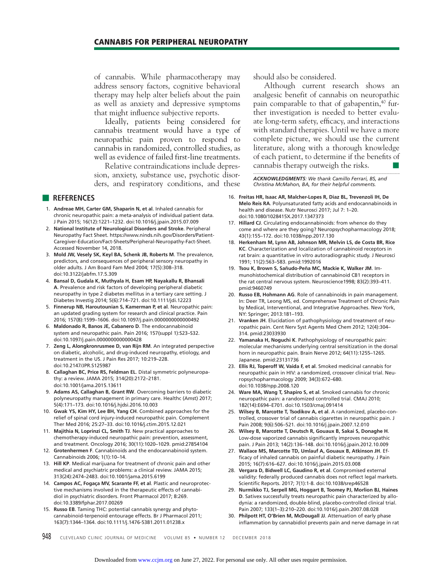#### **CANNABIS FOR PERIPHERAL NEUROPATHY**

of cannabis. While pharmacotherapy may address sensory factors, cognitive behavioral therapy may help alter beliefs about the pain as well as anxiety and depressive symptoms that might influence subjective reports.

 Ideally, patients being considered for cannabis treatment would have a type of neuropathic pain proven to respond to cannabis in randomized, controlled studies, as well as evidence of failed first-line treatments.

 Relative contraindications include depression, anxiety, substance use, psychotic disorders, and respiratory conditions, and these

#### ■ **REFERENCES**

- 1. **Andreae MH, Carter GM, Shaparin N, et al**. Inhaled cannabis for chronic neuropathic pain: a meta-analysis of individual patient data. J Pain 2015; 16(12):1221–1232. doi:10.1016/j.jpain.2015.07.009
- 2. **National Institute of Neurological Disorders and Stroke**. Peripheral Neuropathy Fact Sheet. https://www.ninds.nih.gov/Disorders/Patient-Caregiver-Education/Fact-Sheets/Peripheral-Neuropathy-Fact-Sheet. Accessed November 14, 2018.
- 3. **Mold JW, Vesely SK, Keyl BA, Schenk JB, Roberts M**. The prevalence, predictors, and consequences of peripheral sensory neuropathy in older adults. J Am Board Fam Med 2004; 17(5):308–318. doi:10.3122/jabfm.17.5.309
- 4. **Bansal D, Gudala K, Muthyala H, Esam HP, Nayakallu R, Bhansali A**. Prevalence and risk factors of developing peripheral diabetic neuropathy in type 2 diabetes mellitus in a tertiary care setting. J Diabetes Investig 2014; 5(6):714–721. doi:10.1111/jdi.12223
- 5. **Finnerup NB, Haroutounian S, Kamerman P, et al**. Neuropathic pain: an updated grading system for research and clinical practice. Pain 2016; 157(8):1599–1606. doi:10.1097/j.pain.0000000000000492
- 6. **Maldonado R, Banos JE, Cabanero D**. The endocannabinoid system and neuropathic pain. Pain 2016; 157(suppl 1):S23–S32. doi:10.1097/j.pain.0000000000000428
- 7. **Zeng L, Alongkronrusmee D, van Rijn RM**. An integrated perspective on diabetic, alcoholic, and drug-induced neuropathy, etiology, and treatment in the US. J Pain Res 2017; 10:219–228. doi:10.2147/JPR.S125987
- 8. **Callaghan BC, Price RS, Feldman EL**. Distal symmetric polyneuropathy: a review. JAMA 2015; 314(20):2172–2181. doi:10.1001/jama.2015.13611
- 9. **Adams AS, Callaghan B, Grant RW**. Overcoming barriers to diabetic polyneuropathy management in primary care. Healthc (Amst) 2017; 5(4):171–173. doi:10.1016/j.hjdsi.2016.10.003
- 10. **Gwak YS, Kim HY, Lee BH, Yang CH**. Combined approaches for the relief of spinal cord injury-induced neuropathic pain. Complement Ther Med 2016; 25:27–33. doi:10.1016/j.ctim.2015.12.021
- 11. **Majithia N, Loprinzi CL, Smith TJ**. New practical approaches to chemotherapy-induced neuropathic pain: prevention, assessment, and treatment. Oncology 2016; 30(11):1020–1029. pmid:27854104
- 12. **Grotenhermen F**. Cannabinoids and the endocannabinoid system. Cannabinoids 2006; 1(1):10–14.
- 13. **Hill KP**. Medical marijuana for treatment of chronic pain and other medical and psychiatric problems: a clinical review. JAMA 2015; 313(24):2474–2483. doi:10.1001/jama.2015.6199
- 14. **Campos AC, Fogaça MV, Scarante FF, et al**. Plastic and neuroprotective mechanisms involved in the therapeutic effects of cannabidiol in psychiatric disorders. Front Pharmacol 2017; 8:269. doi:10.3389/fphar.2017.00269
- 15. **Russo EB**. Taming THC: potential cannabis synergy and phytocannabinoid-terpenoid entourage effects. Br J Pharmacol 2011; 163(7):1344–1364. doi:10.1111/j.1476-5381.2011.01238.x

should also be considered.

 Although current research shows an analgesic benefit of cannabis on neuropathic pain comparable to that of gabapentin,<sup>40</sup> further investigation is needed to better evaluate long-term safety, efficacy, and interactions with standard therapies. Until we have a more complete picture, we should use the current literature, along with a thorough knowledge of each patient, to determine if the benefits of cannabis therapy outweigh the risks.

*ACKNOWLEDGMENTS: We thank Camillo Ferrari, BS, and Christina McMahon, BA, for their helpful comments.*

- 16. **Freitas HR, Isaac AR, Malcher-Lopes R, Diaz BL, Trevenzoli IH, De Melo Reis RA**. Polyunsaturated fatty acids and endocannabinoids in health and disease. Nutr Neurosci 2017; Jul 7: 1–20. doi:10.1080/1028415X.2017.1347373
- 17. **Hillard CJ**. Circulating endocannabinoids: from whence do they come and where are they going? Neuropsychopharmacology 2018; 43(1):155–172. doi:10.1038/npp.2017.130
- 18. **Herkenham M, Lynn AB, Johnson MR, Melvin LS, de Costa BR, Rice KC**. Characterization and localization of cannabinoid receptors in rat brain: a quantitative in vitro autoradiographic study. J Neurosci 1991; 11(2):563–583. pmid:1992016
- 19. **Tsou K, Brown S, Sañudo-Peña MC, Mackie K, Walker JM**. Immunohistochemical distribution of cannabinoid CB1 receptors in the rat central nervous system. Neuroscience1998; 83(2):393–411. pmid:9460749
- 20. **Russo EB, Hohmann AG**. Role of cannabinoids in pain management. In: Deer TR, Leong MS, ed. Comprehensve Treatment of Chronic Pain by Medical, Interventional, and Integrative Approaches. New York, NY: Springer; 2013:181–193.
- 21. **Vranken JH**. Elucidation of pathophysiology and treatment of neuropathic pain. Cent Nerv Syst Agents Med Chem 2012; 12(4):304– 314. pmid:23033930
- 22. **Yamanaka H, Noguchi K**. Pathophysiology of neuropathic pain: molecular mechanisms underlying central sensitization in the dorsal horn in neuropathic pain. Brain Nerve 2012; 64(11):1255–1265. Japanese. pmid:23131736
- 23. **Ellis RJ, Toperoff W, Vaida F, et al**. Smoked medicinal cannabis for neuropathic pain in HIV: a randomized, crossover clinical trial. Neuropsychopharmacology 2009; 34(3):672–680. doi:10.1038/npp.2008.120
- 24. **Ware MA, Wang T, Shapiro S, et al**. Smoked cannabis for chronic neuropathic pain: a randomized controlled trial. CMAJ 2010; 182(14):E694–E701. doi:10.1503/cmaj.091414
- 25. **Wilsey B, Marcotte T, Tsodikov A, et al**. A randomized, placebo-controlled, crossover trial of cannabis cigarettes in neuropathic pain. J Pain 2008; 9(6):506–521. doi:10.1016/j.jpain.2007.12.010
- 26. **Wilsey B, Marcotte T, Deutsch R, Gouaux B, Sakai S, Donaghe H**. Low-dose vaporized cannabis significantly improves neuropathic pain. J Pain 2013; 14(2):136–148. doi:10.1016/j.jpain.2012.10.009
- 27. **Wallace MS, Marcotte TD, Umlauf A, Gouaux B, Atkinson JH**. Efficacy of inhaled cannabis on painful diabetic neuropathy. J Pain 2015; 16(7):616–627. doi:10.1016/j.jpain.2015.03.008
- 28. **Vergara D, Bidwell LC, Gaudino R, et al**. Compromised external validity: federally produced cannabis does not reflect legal markets. Scientific Reports. 2017; 7(1):1-8. doi:10.1038/srep46528
- 29. **Nurmikko TJ, Serpell MG, Hoggart B, Toomey PJ, Morlion BJ, Haines D**. Sativex successfully treats neuropathic pain characterized by allodynia: a randomized, double-blind, placebo-controlled clinical trial. Pain 2007; 133(1–3):210–220. doi:10.1016/j.pain.2007.08.028
- 30. **Philpott HT, O'Brien M, McDougall JJ**. Attenuation of early phase inflammation by cannabidiol prevents pain and nerve damage in rat